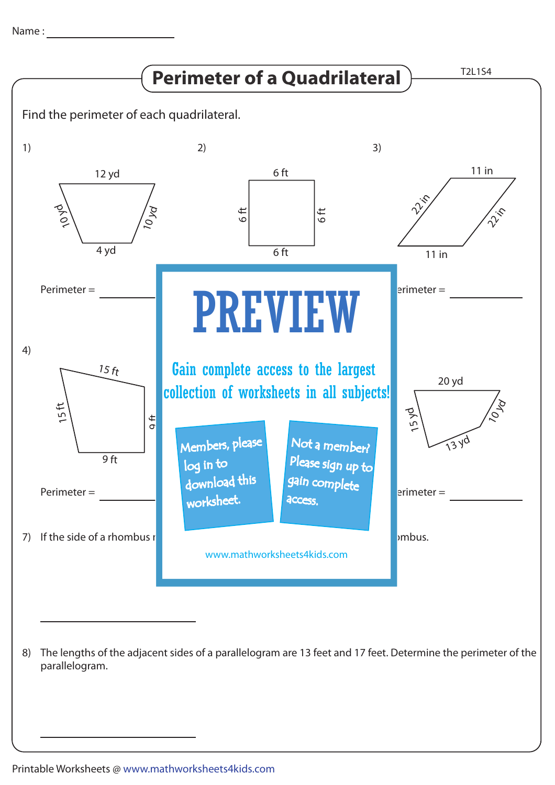

The lengths of the adjacent sides of a parallelogram are 13 feet and 17 feet. Determine the perimeter of the 8) parallelogram.